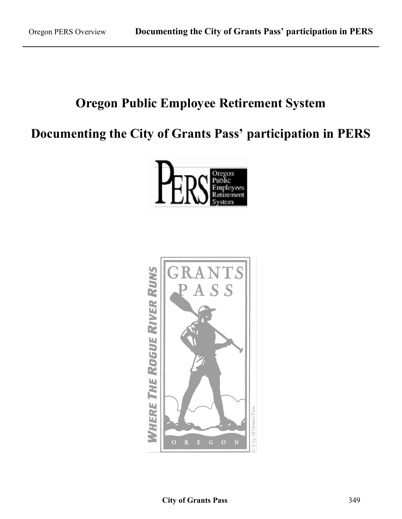### **Oregon Public Employee Retirement System**

### **Documenting the City of Grants Pass' participation in PERS**



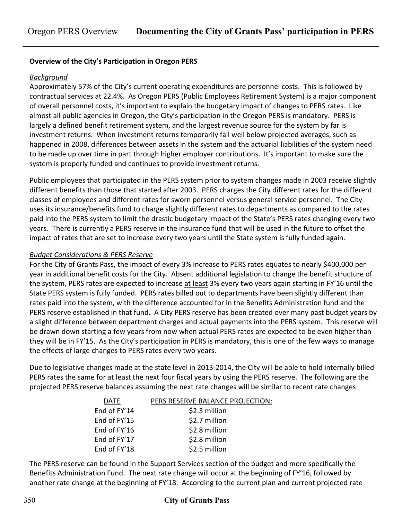#### **Overview of the City's Participation in Oregon PERS**

#### *Background*

Approximately 57% of the City's current operating expenditures are personnel costs. This is followed by contractual services at 22.4%. As Oregon PERS (Public Employees Retirement System) is a major component of overall personnel costs, it's important to explain the budgetary impact of changes to PERS rates. Like almost all public agencies in Oregon, the City's participation in the Oregon PERS is mandatory. PERS is largely a defined benefit retirement system, and the largest revenue source for the system by far is investment returns. When investment returns temporarily fall well below projected averages, such as happened in 2008, differences between assets in the system and the actuarial liabilities of the system need to be made up over time in part through higher employer contributions. It's important to make sure the system is properly funded and continues to provide investment returns.

Public employees that participated in the PERS system prior to system changes made in 2003 receive slightly different benefits than those that started after 2003. PERS charges the City different rates for the different classes of employees and different rates for sworn personnel versus general service personnel. The City uses its insurance/benefits fund to charge slightly different rates to departments as compared to the rates paid into the PERS system to limit the drastic budgetary impact of the State's PERS rates changing every two years. There is currently a PERS reserve in the insurance fund that will be used in the future to offset the impact of rates that are set to increase every two years until the State system is fully funded again.

#### *Budget Considerations & PERS Reserve*

For the City of Grants Pass, the impact of every 3% increase to PERS rates equates to nearly \$400,000 per year in additional benefit costs for the City. Absent additional legislation to change the benefit structure of the system, PERS rates are expected to increase at least 3% every two years again starting in FY'16 until the State PERS system is fully funded. PERS rates billed out to departments have been slightly different than rates paid into the system, with the difference accounted for in the Benefits Administration fund and the PERS reserve established in that fund. A City PERS reserve has been created over many past budget years by a slight difference between department charges and actual payments into the PERS system. This reserve will be drawn down starting a few years from now when actual PERS rates are expected to be even higher than they will be in FY'15. As the City's participation in PERS is mandatory, this is one of the few ways to manage the effects of large changes to PERS rates every two years.

Due to legislative changes made at the state level in 2013-2014, the City will be able to hold internally billed PERS rates the same for at least the next four fiscal years by using the PERS reserve. The following are the projected PERS reserve balances assuming the next rate changes will be similar to recent rate changes:

| <b>DATE</b>  | PERS RESERVE BALANCE PROJECTION: |
|--------------|----------------------------------|
| End of FY'14 | \$2.3 million                    |
| End of FY'15 | \$2.7 million                    |
| End of FY'16 | \$2.8 million                    |
| End of FY'17 | \$2.8 million                    |
| End of FY'18 | \$2.5 million                    |

The PERS reserve can be found in the Support Services section of the budget and more specifically the Benefits Administration Fund. The next rate change will occur at the beginning of FY'16, followed by another rate change at the beginning of FY'18. According to the current plan and current projected rate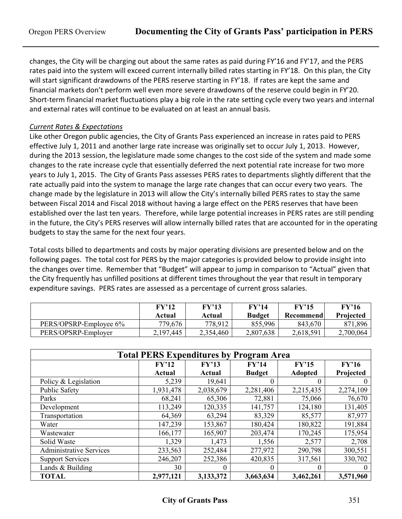changes, the City will be charging out about the same rates as paid during FY'16 and FY'17, and the PERS rates paid into the system will exceed current internally billed rates starting in FY'18. On this plan, the City will start significant drawdowns of the PERS reserve starting in FY'18. If rates are kept the same and financial markets don't perform well even more severe drawdowns of the reserve could begin in FY'20. Short-term financial market fluctuations play a big role in the rate setting cycle every two years and internal and external rates will continue to be evaluated on at least an annual basis.

#### *Current Rates & Expectations*

Like other Oregon public agencies, the City of Grants Pass experienced an increase in rates paid to PERS effective July 1, 2011 and another large rate increase was originally set to occur July 1, 2013. However, during the 2013 session, the legislature made some changes to the cost side of the system and made some changes to the rate increase cycle that essentially deferred the next potential rate increase for two more years to July 1, 2015. The City of Grants Pass assesses PERS rates to departments slightly different that the rate actually paid into the system to manage the large rate changes that can occur every two years. The change made by the legislature in 2013 will allow the City's internally billed PERS rates to stay the same between Fiscal 2014 and Fiscal 2018 without having a large effect on the PERS reserves that have been established over the last ten years. Therefore, while large potential increases in PERS rates are still pending in the future, the City's PERS reserves will allow internally billed rates that are accounted for in the operating budgets to stay the same for the next four years.

Total costs billed to departments and costs by major operating divisions are presented below and on the following pages. The total cost for PERS by the major categories is provided below to provide insight into the changes over time. Remember that "Budget" will appear to jump in comparison to "Actual" given that the City frequently has unfilled positions at different times throughout the year that result in temporary expenditure savings. PERS rates are assessed as a percentage of current gross salaries.

|                        | FY'12<br>Actual | FY'13<br>Actual | FY'14<br><b>Budget</b> | FY'15<br>Recommend | FY'16<br><b>Projected</b> |
|------------------------|-----------------|-----------------|------------------------|--------------------|---------------------------|
| PERS/OPSRP-Employee 6% | 779,676         | 778,912         | 855,996                | 843,670            | 871,896                   |
| PERS/OPSRP-Employer    | 2,197,445       | 2,354,460       | 2,807,638              | 2,618,591          | 2,700,064                 |

| <b>Total PERS Expenditures by Program Area</b> |           |                         |               |                |           |  |  |  |
|------------------------------------------------|-----------|-------------------------|---------------|----------------|-----------|--|--|--|
|                                                | FY'12     | FY'13<br>FY'14<br>FY'15 |               |                |           |  |  |  |
|                                                | Actual    | Actual                  | <b>Budget</b> | <b>Adopted</b> | Projected |  |  |  |
| Policy & Legislation                           | 5,239     | 19,641                  | 0             | $\Omega$       |           |  |  |  |
| Public Safety                                  | 1,931,478 | 2,038,679               | 2,281,406     | 2,215,435      | 2,274,109 |  |  |  |
| Parks                                          | 68,241    | 65,306                  | 72,881        | 75,066         | 76,670    |  |  |  |
| Development                                    | 113,249   | 120,335                 | 141,757       | 124,180        | 131,405   |  |  |  |
| Transportation                                 | 64,369    | 63,294                  | 83,329        | 85,577         | 87,977    |  |  |  |
| Water                                          | 147,239   | 153,867                 | 180,424       | 180,822        | 191,884   |  |  |  |
| Wastewater                                     | 166,177   | 165,907                 | 203,474       | 170,245        | 175,954   |  |  |  |
| Solid Waste                                    | 1,329     | 1,473                   | 1,556         | 2,577          | 2,708     |  |  |  |
| <b>Administrative Services</b>                 | 233,563   | 252,484                 | 277,972       | 290,798        | 300,551   |  |  |  |
| <b>Support Services</b>                        | 246,207   | 252,386                 | 420,835       | 317,561        | 330,702   |  |  |  |
| Lands & Building                               | 30        | $\left($                | 0             |                |           |  |  |  |
| <b>TOTAL</b>                                   | 2,977,121 | 3,133,372               | 3,663,634     | 3,462,261      | 3,571,960 |  |  |  |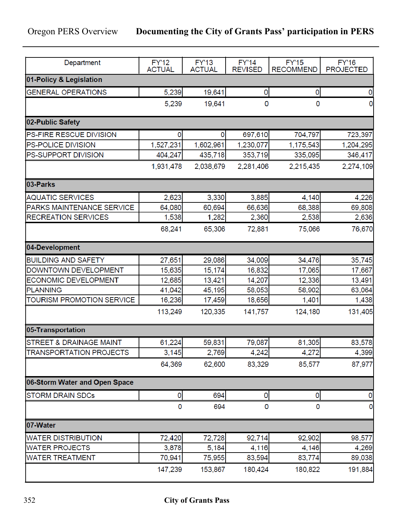| Department                         | <b>FY'12</b><br><b>ACTUAL</b> | <b>FY'13</b><br><b>ACTUAL</b> | <b>FY'14</b><br><b>REVISED</b> | <b>FY'15</b><br><b>RECOMMEND</b> | <b>FY'16</b><br><b>PROJECTED</b> |  |
|------------------------------------|-------------------------------|-------------------------------|--------------------------------|----------------------------------|----------------------------------|--|
| 01-Policy & Legislation            |                               |                               |                                |                                  |                                  |  |
| <b>GENERAL OPERATIONS</b>          | 5,239                         | 19,641                        | 0                              | 0                                | 0                                |  |
|                                    | 5,239                         | 19,641                        | 0                              | 0                                | 0                                |  |
| 02-Public Safety                   |                               |                               |                                |                                  |                                  |  |
| PS-FIRE RESCUE DIVISION            | $\mathbf 0$                   | 0                             | 697,610                        | 704,797                          | 723,397                          |  |
| PS-POLICE DIVISION                 | 1,527,231                     | 1,602,961                     | 1,230,077                      | 1,175,543                        | 1,204,295                        |  |
| PS-SUPPORT DIVISION                | 404,247                       | 435,718                       | 353,719                        | 335,095                          | 346,417                          |  |
|                                    | 1,931,478                     | 2,038,679                     | 2,281,406                      | 2,215,435                        | 2,274,109                        |  |
| 03-Parks                           |                               |                               |                                |                                  |                                  |  |
| <b>AQUATIC SERVICES</b>            | 2,623                         | 3,330                         | 3,885                          | 4,140                            | 4,226                            |  |
| PARKS MAINTENANCE SERVICE          | 64,080                        | 60,694                        | 66,636                         | 68,388                           | 69,808                           |  |
| <b>RECREATION SERVICES</b>         | 1,538                         | 1,282                         | 2,360                          | 2,538                            | 2,636                            |  |
|                                    | 68,241                        | 65,306                        | 72,881                         | 75,066                           | 76,670                           |  |
| 04-Development                     |                               |                               |                                |                                  |                                  |  |
| <b>BUILDING AND SAFETY</b>         | 27,651                        | 29,086                        | 34,009                         | 34,476                           | 35,745                           |  |
| DOWNTOWN DEVELOPMENT               | 15,635                        | 15,174                        | 16,832                         | 17,065                           | 17,667                           |  |
| ECONOMIC DEVELOPMENT               | 12,685                        | 13,421                        | 14,207                         | 12,336                           | 13,491                           |  |
| <b>PLANNING</b>                    | 41,042                        | 45,195                        | 58,053                         | 58,902                           | 63,064                           |  |
| TOURISM PROMOTION SERVICE          | 16,236                        | 17,459                        | 18,656                         | 1,401                            | 1,438                            |  |
|                                    | 113,249                       | 120,335                       | 141,757                        | 124,180                          | 131,405                          |  |
| 05-Transportation                  |                               |                               |                                |                                  |                                  |  |
| <b>STREET &amp; DRAINAGE MAINT</b> | 61,224                        | 59,831                        | 79,087                         | 81,305                           | 83,578                           |  |
| <b>TRANSPORTATION PROJECTS</b>     | 3,145                         | 2,769                         | 4,242                          | 4,272                            | 4,399                            |  |
|                                    | 64,369                        | 62,600                        | 83,329                         | 85,577                           | 87,977                           |  |
| 06-Storm Water and Open Space      |                               |                               |                                |                                  |                                  |  |
| <b>STORM DRAIN SDCs</b>            | 0                             | 694                           | 0                              | 0                                | 0                                |  |
|                                    | 0                             | 694                           | 0                              | 0                                | 0                                |  |
| 07-Water                           |                               |                               |                                |                                  |                                  |  |
| <b>WATER DISTRIBUTION</b>          | 72,420                        | 72,728                        | 92,714                         | 92,902                           | 98,577                           |  |
| <b>WATER PROJECTS</b>              | 3,878                         | 5,184                         | 4,116                          | 4,146                            | 4,269                            |  |
| <b>WATER TREATMENT</b>             | 70,941                        | 75,955                        | 83,594                         | 83,774                           | 89,038                           |  |
|                                    | 147,239                       | 153,867                       | 180,424                        | 180,822                          | 191,884                          |  |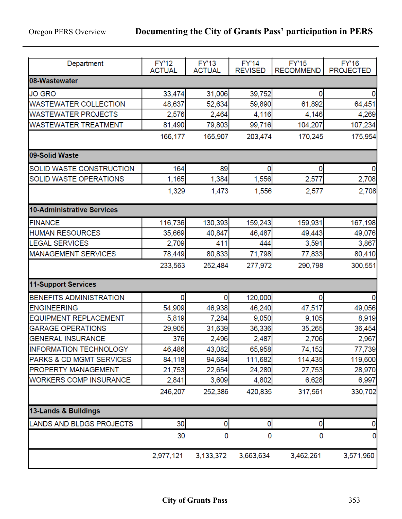| Department                        | <b>FY'12</b>  | <b>FY'13</b>  | <b>FY'14</b>   | <b>FY'15</b>     | <b>FY'16</b>     |
|-----------------------------------|---------------|---------------|----------------|------------------|------------------|
|                                   | <b>ACTUAL</b> | <b>ACTUAL</b> | <b>REVISED</b> | <b>RECOMMEND</b> | <b>PROJECTED</b> |
| 08-Wastewater                     |               |               |                |                  |                  |
| <b>JO GRO</b>                     | 33,474        | 31,006        | 39,752         | 0                | 0                |
| <b>WASTEWATER COLLECTION</b>      | 48,637        | 52,634        | 59,890         | 61,892           | 64,451           |
| <b>WASTEWATER PROJECTS</b>        | 2,576         | 2,464         | 4,116          | 4,146            | 4,269            |
| <b>WASTEWATER TREATMENT</b>       | 81,490        | 79,803        | 99,716         | 104,207          | 107,234          |
|                                   | 166,177       | 165,907       | 203,474        | 170,245          | 175,954          |
| 09-Solid Waste                    |               |               |                |                  |                  |
| SOLID WASTE CONSTRUCTION          | 164           | 89            | 0              | 0                | 0                |
| SOLID WASTE OPERATIONS            | 1,165         | 1,384         | 1,556          | 2,577            | 2,708            |
|                                   | 1,329         | 1,473         | 1,556          | 2,577            | 2,708            |
| <b>10-Administrative Services</b> |               |               |                |                  |                  |
| <b>FINANCE</b>                    | 116,736       | 130,393       | 159,243        | 159,931          | 167,198          |
| <b>HUMAN RESOURCES</b>            | 35,669        | 40,847        | 46,487         | 49,443           | 49,076           |
| <b>LEGAL SERVICES</b>             | 2,709         | 411           | 444            | 3,591            | 3,867            |
| <b>MANAGEMENT SERVICES</b>        | 78,449        | 80,833        | 71,798         | 77,833           | 80,410           |
|                                   | 233,563       | 252,484       | 277,972        | 290,798          | 300,551          |
| 11-Support Services               |               |               |                |                  |                  |
| BENEFITS ADMINISTRATION           | 0             | 0             | 120,000        | 0                | 0                |
| <b>ENGINEERING</b>                | 54,909        | 46,938        | 46,240         | 47,517           | 49,056           |
| EQUIPMENT REPLACEMENT             | 5,819         | 7,284         | 9,050          | 9,105            | 8,919            |
| <b>GARAGE OPERATIONS</b>          | 29,905        | 31,639        | 36,336         | 35,265           | 36,454           |
| <b>GENERAL INSURANCE</b>          | 376           | 2,496         | 2,487          | 2,706            | 2,967            |
| INFORMATION TECHNOLOGY            | 46,486        | 43,082        | 65,958         | 74,152           | 77,739           |
| PARKS & CD MGMT SERVICES          | 84,118        | 94,684        | 111,682        | 114,435          | 119,600          |
| PROPERTY MANAGEMENT               | 21,753        | 22,654        | 24,280         | 27,753           | 28,970           |
| <b>WORKERS COMP INSURANCE</b>     | 2,841         | 3,609         | 4,802          | 6,628            | 6,997            |
|                                   | 246,207       | 252,386       | 420,835        | 317,561          | 330,702          |
| 13-Lands & Buildings              |               |               |                |                  |                  |
| LANDS AND BLDGS PROJECTS          | 30            | 0             | 0              | 0                | 0                |
|                                   | 30            | 0             | 0              | 0                | 0                |
|                                   | 2,977,121     | 3,133,372     | 3,663,634      | 3,462,261        | 3,571,960        |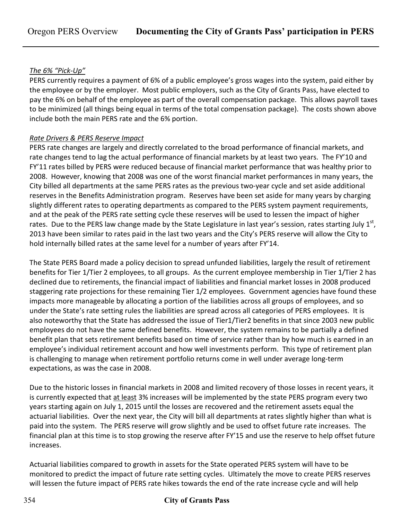#### *The 6% "Pick-Up"*

PERS currently requires a payment of 6% of a public employee's gross wages into the system, paid either by the employee or by the employer. Most public employers, such as the City of Grants Pass, have elected to pay the 6% on behalf of the employee as part of the overall compensation package. This allows payroll taxes to be minimized (all things being equal in terms of the total compensation package). The costs shown above include both the main PERS rate and the 6% portion.

#### *Rate Drivers & PERS Reserve Impact*

PERS rate changes are largely and directly correlated to the broad performance of financial markets, and rate changes tend to lag the actual performance of financial markets by at least two years. The FY'10 and FY'11 rates billed by PERS were reduced because of financial market performance that was healthy prior to 2008. However, knowing that 2008 was one of the worst financial market performances in many years, the City billed all departments at the same PERS rates as the previous two-year cycle and set aside additional reserves in the Benefits Administration program. Reserves have been set aside for many years by charging slightly different rates to operating departments as compared to the PERS system payment requirements, and at the peak of the PERS rate setting cycle these reserves will be used to lessen the impact of higher rates. Due to the PERS law change made by the State Legislature in last year's session, rates starting July  $1<sup>st</sup>$ , 2013 have been similar to rates paid in the last two years and the City's PERS reserve will allow the City to hold internally billed rates at the same level for a number of years after FY'14.

The State PERS Board made a policy decision to spread unfunded liabilities, largely the result of retirement benefits for Tier 1/Tier 2 employees, to all groups. As the current employee membership in Tier 1/Tier 2 has declined due to retirements, the financial impact of liabilities and financial market losses in 2008 produced staggering rate projections for these remaining Tier 1/2 employees. Government agencies have found these impacts more manageable by allocating a portion of the liabilities across all groups of employees, and so under the State's rate setting rules the liabilities are spread across all categories of PERS employees. It is also noteworthy that the State has addressed the issue of Tier1/Tier2 benefits in that since 2003 new public employees do not have the same defined benefits. However, the system remains to be partially a defined benefit plan that sets retirement benefits based on time of service rather than by how much is earned in an employee's individual retirement account and how well investments perform. This type of retirement plan is challenging to manage when retirement portfolio returns come in well under average long-term expectations, as was the case in 2008.

Due to the historic losses in financial markets in 2008 and limited recovery of those losses in recent years, it is currently expected that at least 3% increases will be implemented by the state PERS program every two years starting again on July 1, 2015 until the losses are recovered and the retirement assets equal the actuarial liabilities. Over the next year, the City will bill all departments at rates slightly higher than what is paid into the system. The PERS reserve will grow slightly and be used to offset future rate increases. The financial plan at this time is to stop growing the reserve after FY'15 and use the reserve to help offset future increases.

Actuarial liabilities compared to growth in assets for the State operated PERS system will have to be monitored to predict the impact of future rate setting cycles. Ultimately the move to create PERS reserves will lessen the future impact of PERS rate hikes towards the end of the rate increase cycle and will help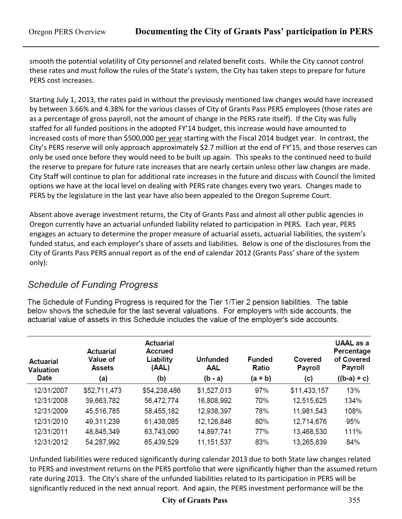smooth the potential volatility of City personnel and related benefit costs. While the City cannot control these rates and must follow the rules of the State's system, the City has taken steps to prepare for future PERS cost increases.

Starting July 1, 2013, the rates paid in without the previously mentioned law changes would have increased by between 3.66% and 4.38% for the various classes of City of Grants Pass PERS employees (those rates are as a percentage of gross payroll, not the amount of change in the PERS rate itself). If the City was fully staffed for all funded positions in the adopted FY'14 budget, this increase would have amounted to increased costs of more than \$500,000 per year starting with the Fiscal 2014 budget year. In contrast, the City's PERS reserve will only approach approximately \$2.7 million at the end of FY'15, and those reserves can only be used once before they would need to be built up again. This speaks to the continued need to build the reserve to prepare for future rate increases that are nearly certain unless other law changes are made. City Staff will continue to plan for additional rate increases in the future and discuss with Council the limited options we have at the local level on dealing with PERS rate changes every two years. Changes made to PERS by the legislature in the last year have also been appealed to the Oregon Supreme Court.

Absent above average investment returns, the City of Grants Pass and almost all other public agencies in Oregon currently have an actuarial unfunded liability related to participation in PERS. Each year, PERS engages an actuary to determine the proper measure of actuarial assets, actuarial liabilities, the system's funded status, and each employer's share of assets and liabilities. Below is one of the disclosures from the City of Grants Pass PERS annual report as of the end of calendar 2012 (Grants Pass' share of the system only):

### **Schedule of Funding Progress**

The Schedule of Funding Progress is required for the Tier 1/Tier 2 pension liabilities. The table below shows the schedule for the last several valuations. For employers with side accounts, the actuarial value of assets in this Schedule includes the value of the employer's side accounts.

| <b>Actuarial</b><br><b>Valuation</b><br><b>Date</b> | <b>Actuarial</b><br><b>Value of</b><br><b>Assets</b><br>(a) | <b>Actuarial</b><br><b>Accrued</b><br><b>Liability</b><br>(AAL)<br>(b) | <b>Unfunded</b><br>AAL<br>$(b - a)$ | <b>Funded</b><br><b>Ratio</b><br>$(a + b)$ | Covered<br><b>Payroll</b><br>(c) | <b>UAAL</b> as a<br>Percentage<br>of Covered<br><b>Payroll</b><br>$((b-a) \div c)$ |
|-----------------------------------------------------|-------------------------------------------------------------|------------------------------------------------------------------------|-------------------------------------|--------------------------------------------|----------------------------------|------------------------------------------------------------------------------------|
| 12/31/2007                                          | \$52,711,473                                                | \$54,238,486                                                           | \$1,527,013                         | 97%                                        | \$11,433,157                     | 13%                                                                                |
| 12/31/2008                                          | 39,663,782                                                  | 56,472,774                                                             | 16,808,992                          | 70%                                        | 12,515,625                       | 134%                                                                               |
| 12/31/2009                                          | 45,516,785                                                  | 58,455,182                                                             | 12,938,397                          | 78%                                        | 11,981,543                       | 108%                                                                               |
| 12/31/2010                                          | 49,311,239                                                  | 61,438,085                                                             | 12,126,846                          | 80%                                        | 12,714,676                       | 95%                                                                                |
| 12/31/2011                                          | 48,845,349                                                  | 63,743,090                                                             | 14,897,741                          | 77%                                        | 13,468,530                       | 111%                                                                               |
| 12/31/2012                                          | 54,287,992                                                  | 65,439,529                                                             | 11, 151, 537                        | 83%                                        | 13,265,839                       | 84%                                                                                |

Unfunded liabilities were reduced significantly during calendar 2013 due to both State law changes related to PERS and investment returns on the PERS portfolio that were significantly higher than the assumed return rate during 2013. The City's share of the unfunded liabilities related to its participation in PERS will be significantly reduced in the next annual report. And again, the PERS investment performance will be the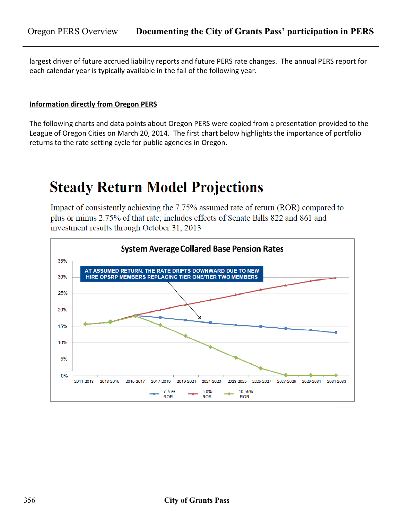largest driver of future accrued liability reports and future PERS rate changes. The annual PERS report for each calendar year is typically available in the fall of the following year.

#### **Information directly from Oregon PERS**

The following charts and data points about Oregon PERS were copied from a presentation provided to the League of Oregon Cities on March 20, 2014. The first chart below highlights the importance of portfolio returns to the rate setting cycle for public agencies in Oregon.

# **Steady Return Model Projections**

Impact of consistently achieving the 7.75% assumed rate of return (ROR) compared to plus or minus 2.75% of that rate; includes effects of Senate Bills 822 and 861 and investment results through October 31, 2013

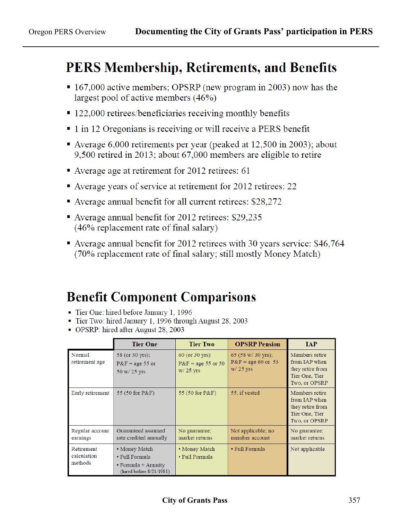### **PERS Membership, Retirements, and Benefits**

- 167,000 active members; OPSRP (new program in 2003) now has the largest pool of active members  $(46\%)$
- $\blacksquare$  122,000 retirees/beneficiaries receiving monthly benefits
- $\blacksquare$  1 in 12 Oregonians is receiving or will receive a PERS benefit
- Average 6,000 retirements per year (peaked at  $12,500$  in 2003); about 9,500 retired in 2013; about 67,000 members are eligible to retire
- Average age at retirement for 2012 retirees: 61
- Average years of service at retirement for 2012 retirees: 22
- Average annual benefit for all current retirees: \$28,272
- Average annual benefit for 2012 retirees:  $$29,235$ (46% replacement rate of final salary)
- Average annual benefit for 2012 retirees with 30 years service: \$46,764 (70% replacement rate of final salary; still mostly Money Match)

## **Benefit Component Comparisons**

- Tier One: hired before January 1, 1996
- Tier Two: hired January 1, 1996 through August 28, 2003
- OPSRP: hired after August 28, 2003

|                                      | <b>Tier One</b>                                                                          | <b>Tier Two</b>                                       | <b>OPSRP Pension</b>                                      | <b>IAP</b>                                                                                    |
|--------------------------------------|------------------------------------------------------------------------------------------|-------------------------------------------------------|-----------------------------------------------------------|-----------------------------------------------------------------------------------------------|
| Normal<br>retirement age             | 58 (or 30 yrs);<br>$P\&F = age 55$ or<br>50 w/ 25 yrs                                    | 60 (or 30 yrs)<br>$P\&F = age 55$ or 50<br>$W/25$ yrs | 65 (58 w/ 30 yrs);<br>$P\&F = age 60$ or 53<br>$W/25$ yrs | Members retire<br>from <b>IAP</b> when<br>they retire from<br>Tier One, Tier<br>Two, or OPSRP |
| Early retirement                     | 55 (50 for P&F)                                                                          | 55 (50 for P&F)                                       | 55, if vested                                             | Members retire<br>from IAP when<br>they retire from<br>Tier One, Tier<br>Two, or OPSRP        |
| Regular account<br>earnings          | Guaranteed assumed<br>rate credited annually                                             | No guarantee;<br>market returns                       | Not applicable; no<br>member account                      | No guarantee;<br>market returns                                                               |
| Retirement<br>calculation<br>methods | • Money Match<br>• Full Formula<br>$\cdot$ Formula + Annuity<br>(hired before 8/21/1981) | • Money Match<br>• Full Formula                       | • Full Formula                                            | Not applicable                                                                                |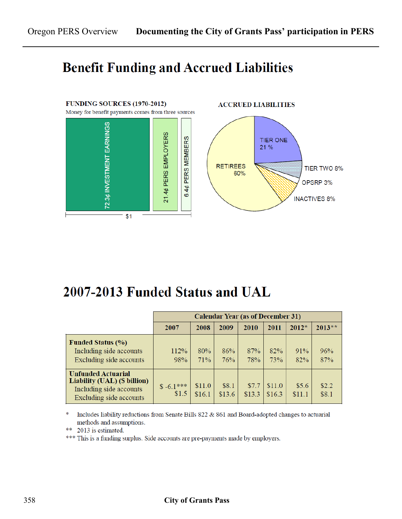### **Benefit Funding and Accrued Liabilities**



### 2007-2013 Funded Status and UAL

|                                                                                                                 | <b>Calendar Year (as of December 31)</b> |                  |                 |                 |                  |                 |                |
|-----------------------------------------------------------------------------------------------------------------|------------------------------------------|------------------|-----------------|-----------------|------------------|-----------------|----------------|
|                                                                                                                 | 2007                                     | 2008             | 2009            | 2010            | 2011             | $2012*$         | $2013**$       |
| <b>Funded Status (%)</b><br>Including side accounts<br>Excluding side accounts                                  | 112%<br>98%                              | 80%<br>71%       | 86%<br>76%      | 87%<br>78%      | 82%<br>73%       | 91%<br>82%      | 96%<br>87%     |
| <b>Unfunded Actuarial</b><br>Liability (UAL) (\$ billion)<br>Including side accounts<br>Excluding side accounts | $$-6.1***$<br>\$1.5                      | \$11.0<br>\$16.1 | \$8.1<br>\$13.6 | \$7.7<br>\$13.3 | \$11.0<br>\$16.3 | \$5.6<br>\$11.1 | \$2.2<br>\$8.1 |

∗ Includes liability reductions from Senate Bills 822 & 861 and Board-adopted changes to actuarial methods and assumptions.

\*\* 2013 is estimated.

\*\*\* This is a funding surplus. Side accounts are pre-payments made by employers.

#### 358 **City of Grants Pass**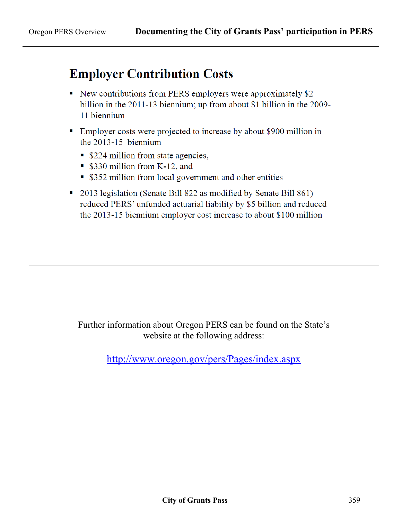### **Employer Contribution Costs**

- New contributions from PERS employers were approximately \$2 billion in the 2011-13 biennium; up from about \$1 billion in the 2009-11 biennium
- Employer costs were projected to increase by about \$900 million in the  $2013 - 15$  biennium
	- \$224 million from state agencies,
	- \$330 million from K-12, and
	- \$352 million from local government and other entities
- 2013 legislation (Senate Bill 822 as modified by Senate Bill 861) reduced PERS' unfunded actuarial liability by \$5 billion and reduced the 2013-15 biennium employer cost increase to about \$100 million

Further information about Oregon PERS can be found on the State's website at the following address:

<http://www.oregon.gov/pers/Pages/index.aspx>